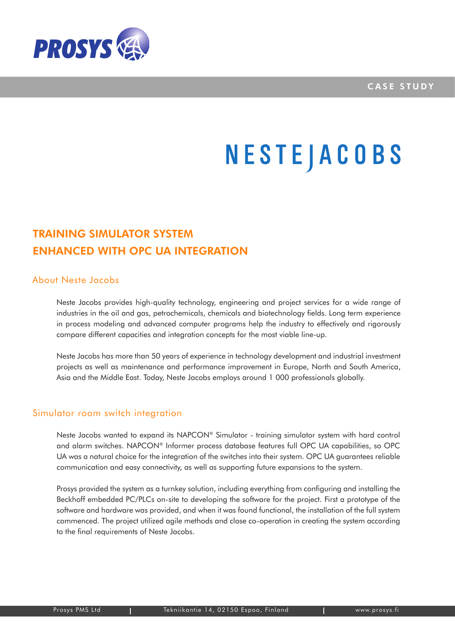

## **NESTEJACOBS**

## TRAINING SIMULATOR SYSTEM ENHANCED WITH OPC UA INTEGRATION

## About Neste Jacobs

Neste Jacobs provides high-quality technology, engineering and project services for a wide range of industries in the oil and gas, petrochemicals, chemicals and biotechnology fields. Long term experience in process modeling and advanced computer programs help the industry to effectively and rigorously compare different capacities and integration concepts for the most viable line-up.

Neste Jacobs has more than 50 years of experience in technology development and industrial investment projects as well as maintenance and performance improvement in Europe, North and South America, Asia and the Middle East. Today, Neste Jacobs employs around 1 000 professionals globally.

## Simulator room switch integration

Neste Jacobs wanted to expand its NAPCON® Simulator - training simulator system with hard control and alarm switches. NAPCON® Informer process database features full OPC UA capabilities, so OPC UA was a natural choice for the integration of the switches into their system. OPC UA guarantees reliable communication and easy connectivity, as well as supporting future expansions to the system.

Prosys provided the system as a turnkey solution, including everything from configuring and installing the Beckhoff embedded PC/PLCs on-site to developing the software for the project. First a prototype of the software and hardware was provided, and when it was found functional, the installation of the full system commenced. The project utilized agile methods and close co-operation in creating the system according to the final requirements of Neste Jacobs.